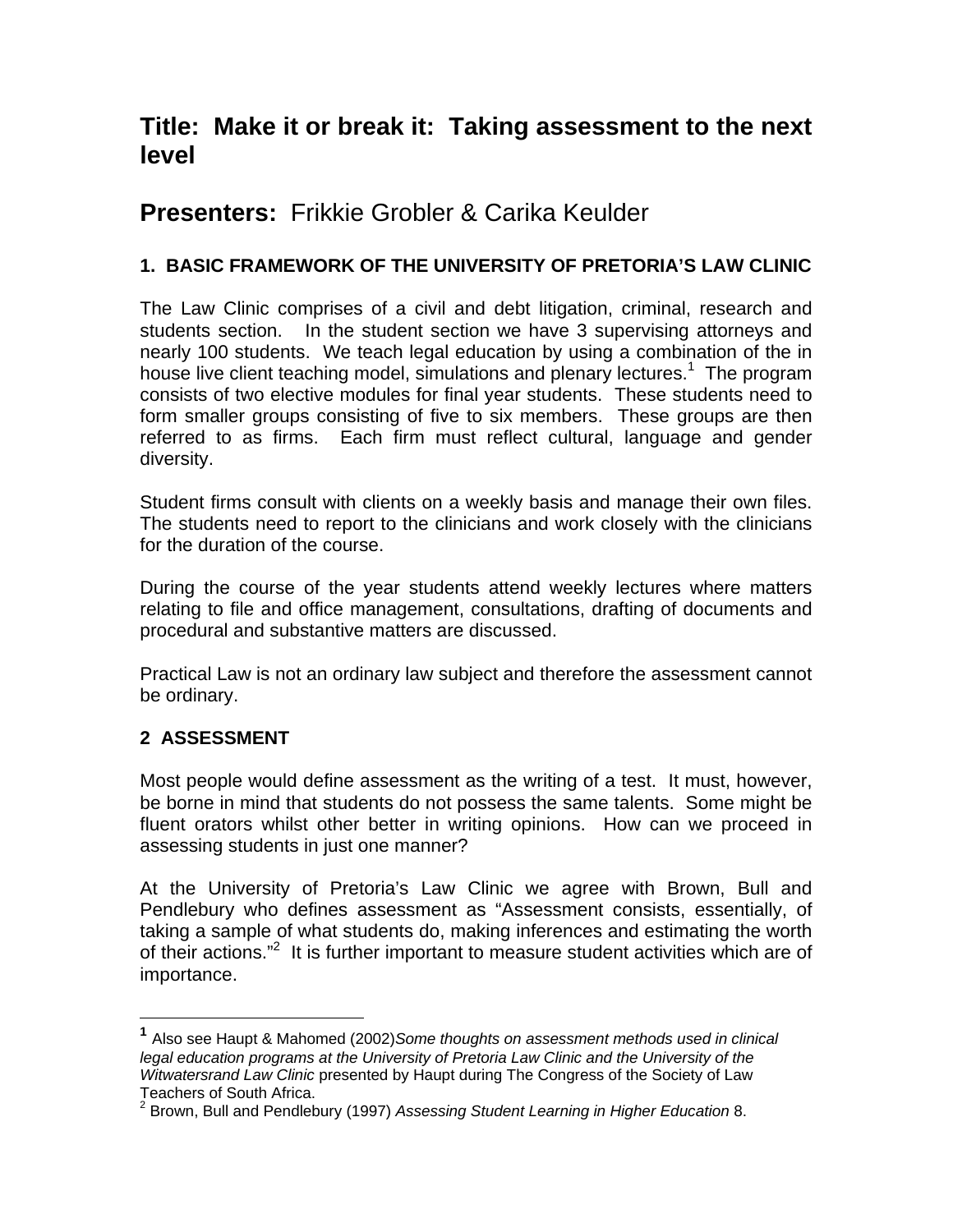# **Title: Make it or break it: Taking assessment to the next level**

# **Presenters:** Frikkie Grobler & Carika Keulder

# **1. BASIC FRAMEWORK OF THE UNIVERSITY OF PRETORIA'S LAW CLINIC**

The Law Clinic comprises of a civil and debt litigation, criminal, research and students section. In the student section we have 3 supervising attorneys and nearly 100 students. We teach legal education by using a combination of the in house live client teaching model, simulations and plenary lectures.<sup>1</sup> The program consists of two elective modules for final year students. These students need to form smaller groups consisting of five to six members. These groups are then referred to as firms. Each firm must reflect cultural, language and gender diversity.

Student firms consult with clients on a weekly basis and manage their own files. The students need to report to the clinicians and work closely with the clinicians for the duration of the course.

During the course of the year students attend weekly lectures where matters relating to file and office management, consultations, drafting of documents and procedural and substantive matters are discussed.

Practical Law is not an ordinary law subject and therefore the assessment cannot be ordinary.

# **2 ASSESSMENT**

 $\overline{a}$ 

Most people would define assessment as the writing of a test. It must, however, be borne in mind that students do not possess the same talents. Some might be fluent orators whilst other better in writing opinions. How can we proceed in assessing students in just one manner?

At the University of Pretoria's Law Clinic we agree with Brown, Bull and Pendlebury who defines assessment as "Assessment consists, essentially, of taking a sample of what students do, making inferences and estimating the worth of their actions."<sup>2</sup> It is further important to measure student activities which are of importance.

**<sup>1</sup>** Also see Haupt & Mahomed (2002)*Some thoughts on assessment methods used in clinical*  legal education programs at the University of Pretoria Law Clinic and the University of the *Witwatersrand Law Clinic* presented by Haupt during The Congress of the Society of Law Teachers of South Africa.<br><sup>2</sup> Broug, Bull and Dandlab

Brown, Bull and Pendlebury (1997) *Assessing Student Learning in Higher Education* 8.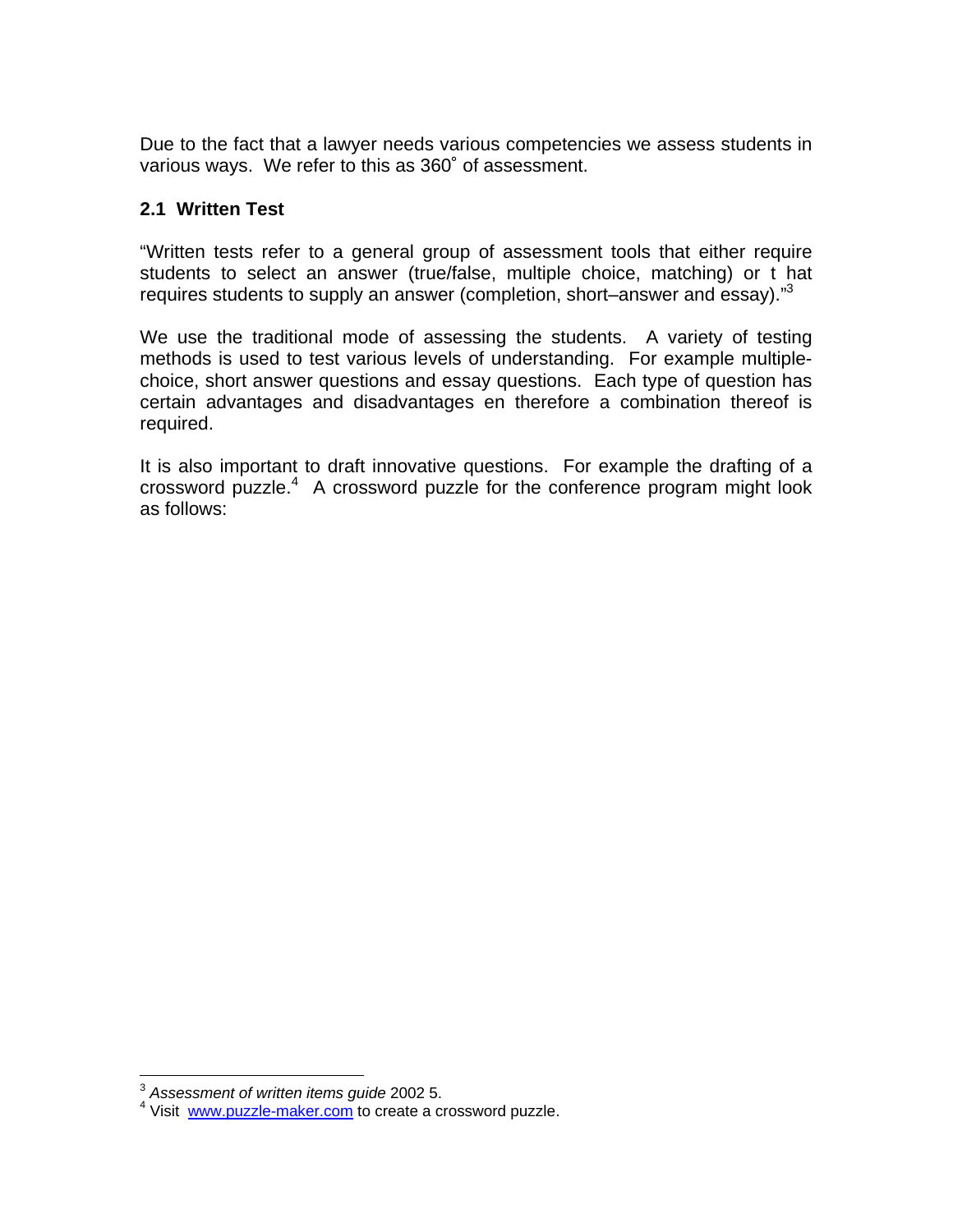Due to the fact that a lawyer needs various competencies we assess students in various ways. We refer to this as 360˚ of assessment.

## **2.1 Written Test**

"Written tests refer to a general group of assessment tools that either require students to select an answer (true/false, multiple choice, matching) or t hat requires students to supply an answer (completion, short–answer and essay)."<sup>3</sup>

We use the traditional mode of assessing the students. A variety of testing methods is used to test various levels of understanding. For example multiplechoice, short answer questions and essay questions. Each type of question has certain advantages and disadvantages en therefore a combination thereof is required.

It is also important to draft innovative questions. For example the drafting of a crossword puzzle.<sup>4</sup> A crossword puzzle for the conference program might look as follows:

 $\overline{a}$ 

<sup>3</sup> *Assessment of written items guide* 2002 5.

<sup>&</sup>lt;sup>4</sup> Visit www.puzzle-maker.com to create a crossword puzzle.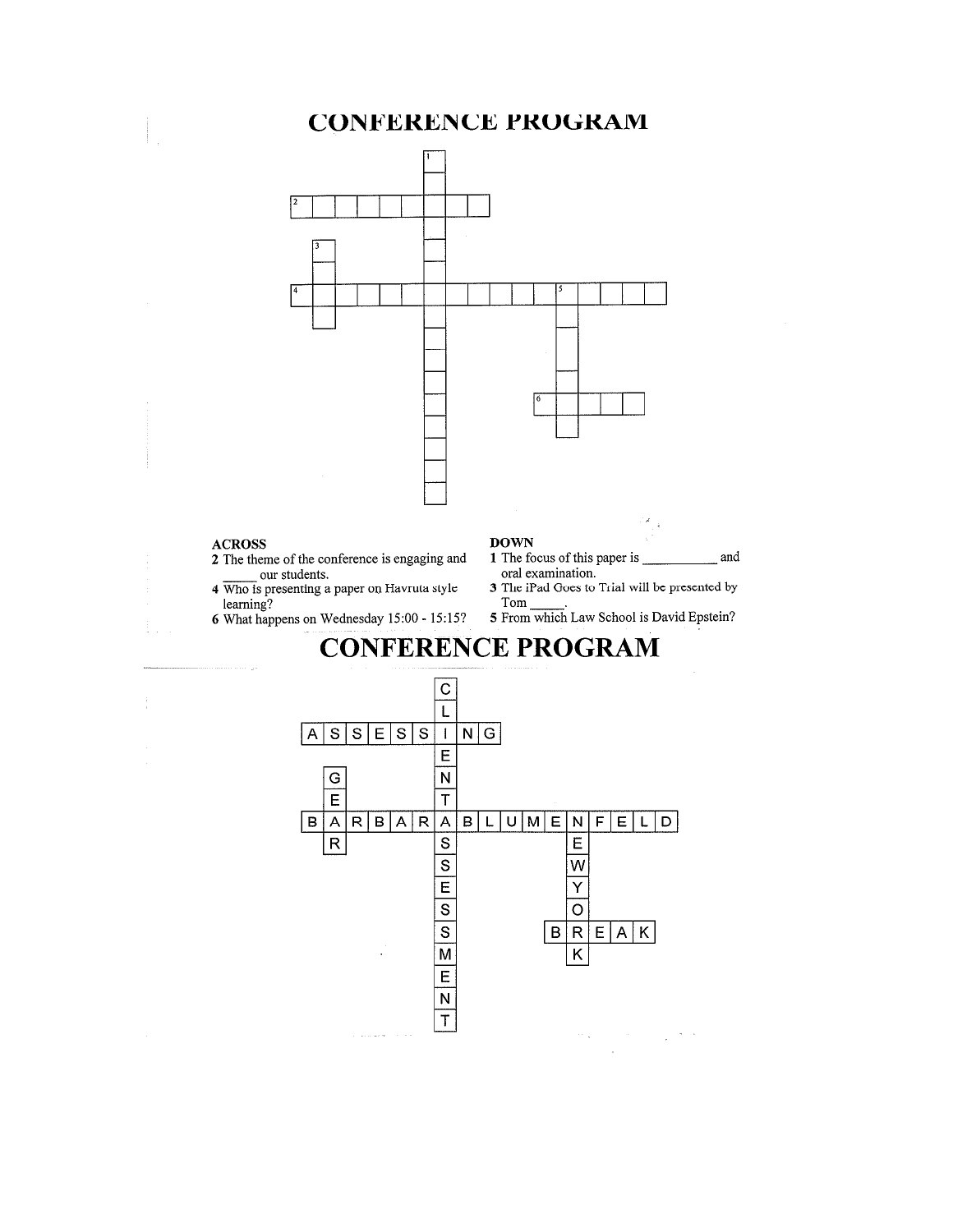# **CONFERENCE PROGRAM**



#### **ACROSS**

- 2 The theme of the conference is engaging and our students.
- 4 Who is presenting a paper on Havruta style learning?
- 6 What happens on Wednesday 15:00 15:15?

#### **DOWN**

- oral examination.
- 3 The iPad Goes to Trial will be presented by Tom
- 5 From which Law School is David Epstein?



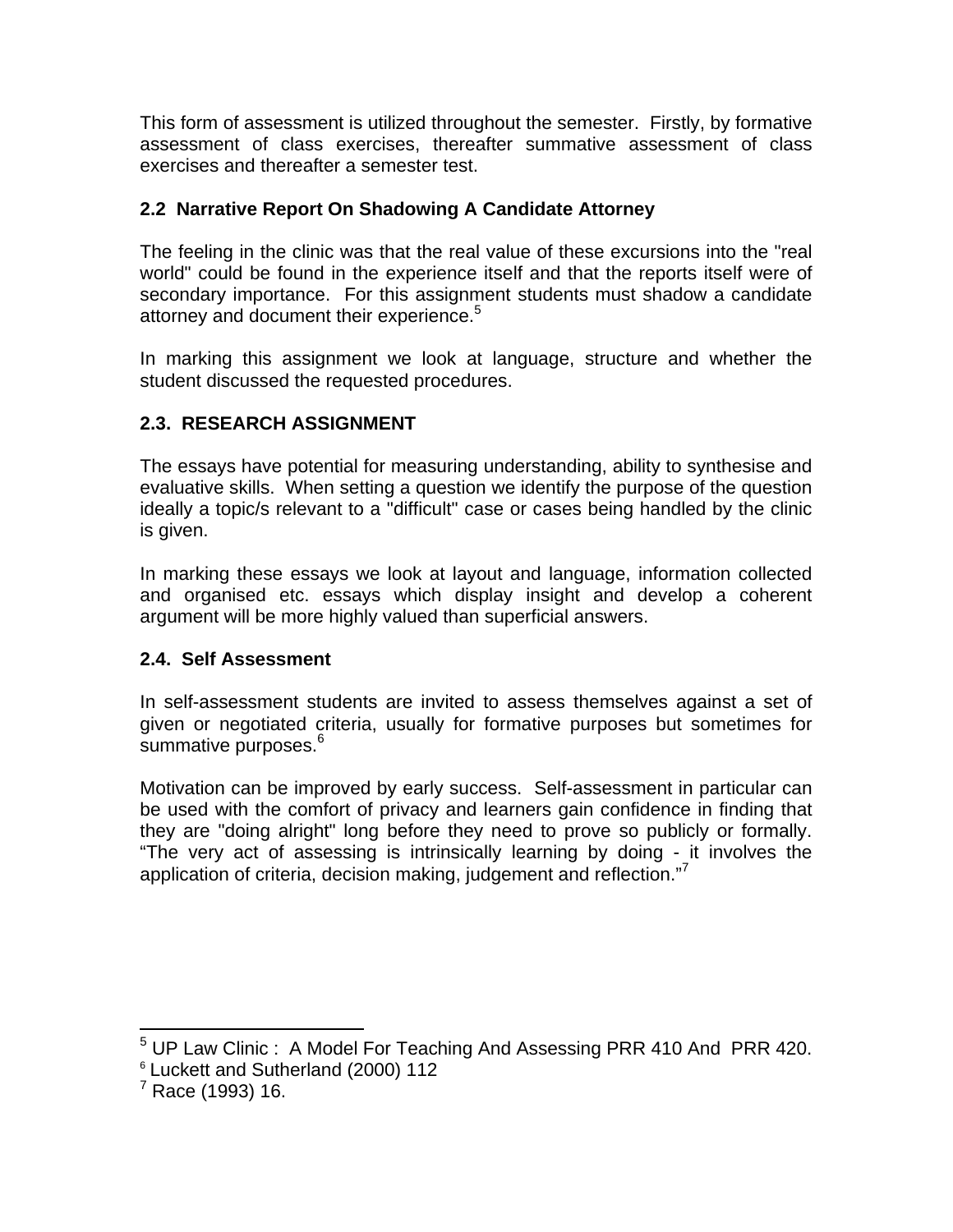This form of assessment is utilized throughout the semester. Firstly, by formative assessment of class exercises, thereafter summative assessment of class exercises and thereafter a semester test.

# **2.2 Narrative Report On Shadowing A Candidate Attorney**

The feeling in the clinic was that the real value of these excursions into the "real world" could be found in the experience itself and that the reports itself were of secondary importance. For this assignment students must shadow a candidate attorney and document their experience.<sup>5</sup>

In marking this assignment we look at language, structure and whether the student discussed the requested procedures.

# **2.3. RESEARCH ASSIGNMENT**

The essays have potential for measuring understanding, ability to synthesise and evaluative skills. When setting a question we identify the purpose of the question ideally a topic/s relevant to a "difficult" case or cases being handled by the clinic is given.

In marking these essays we look at layout and language, information collected and organised etc. essays which display insight and develop a coherent argument will be more highly valued than superficial answers.

# **2.4. Self Assessment**

In self-assessment students are invited to assess themselves against a set of given or negotiated criteria, usually for formative purposes but sometimes for summative purposes.<sup>6</sup>

Motivation can be improved by early success. Self-assessment in particular can be used with the comfort of privacy and learners gain confidence in finding that they are "doing alright" long before they need to prove so publicly or formally. "The very act of assessing is intrinsically learning by doing - it involves the application of criteria, decision making, judgement and reflection."7

 5 UP Law Clinic : A Model For Teaching And Assessing PRR 410 And PRR 420.

<sup>&</sup>lt;sup>6</sup> Luckett and Sutherland (2000) 112

 $^7$  Race (1993) 16.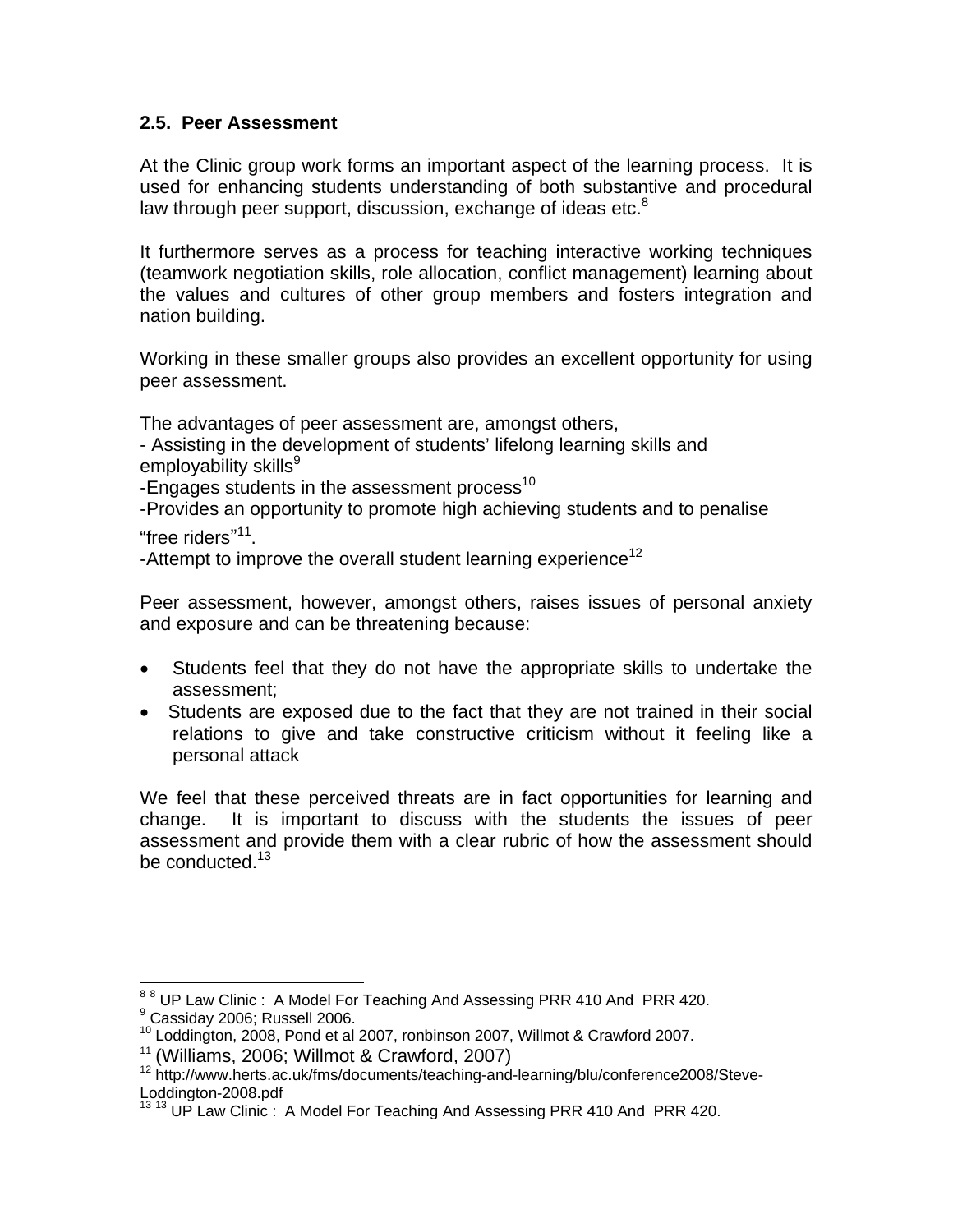### **2.5. Peer Assessment**

At the Clinic group work forms an important aspect of the learning process. It is used for enhancing students understanding of both substantive and procedural law through peer support, discussion, exchange of ideas etc. $8$ 

It furthermore serves as a process for teaching interactive working techniques (teamwork negotiation skills, role allocation, conflict management) learning about the values and cultures of other group members and fosters integration and nation building.

Working in these smaller groups also provides an excellent opportunity for using peer assessment.

The advantages of peer assessment are, amongst others,

- Assisting in the development of students' lifelong learning skills and employability skills<sup>9</sup>

-Engages students in the assessment process $10$ 

-Provides an opportunity to promote high achieving students and to penalise "free riders"<sup>11</sup>.

-Attempt to improve the overall student learning experience<sup>12</sup>

Peer assessment, however, amongst others, raises issues of personal anxiety and exposure and can be threatening because:

- Students feel that they do not have the appropriate skills to undertake the assessment;
- Students are exposed due to the fact that they are not trained in their social relations to give and take constructive criticism without it feeling like a personal attack

We feel that these perceived threats are in fact opportunities for learning and change. It is important to discuss with the students the issues of peer assessment and provide them with a clear rubric of how the assessment should be conducted.<sup>13</sup>

 8 8 UP Law Clinic : A Model For Teaching And Assessing PRR 410 And PRR 420. 9 <sup>9</sup> Cassiday 2006; Russell 2006.

<sup>10</sup> Loddington, 2008, Pond et al 2007, ronbinson 2007, Willmot & Crawford 2007.

<sup>&</sup>lt;sup>11</sup> (Williams, 2006; Willmot & Crawford, 2007)<br><sup>12</sup> http://www.herts.ac.uk/fms/documents/teaching-and-learning/blu/conference2008/Steve-Loddington-2008.pdf

<sup>&</sup>lt;sup>13 13</sup> UP Law Clinic: A Model For Teaching And Assessing PRR 410 And PRR 420.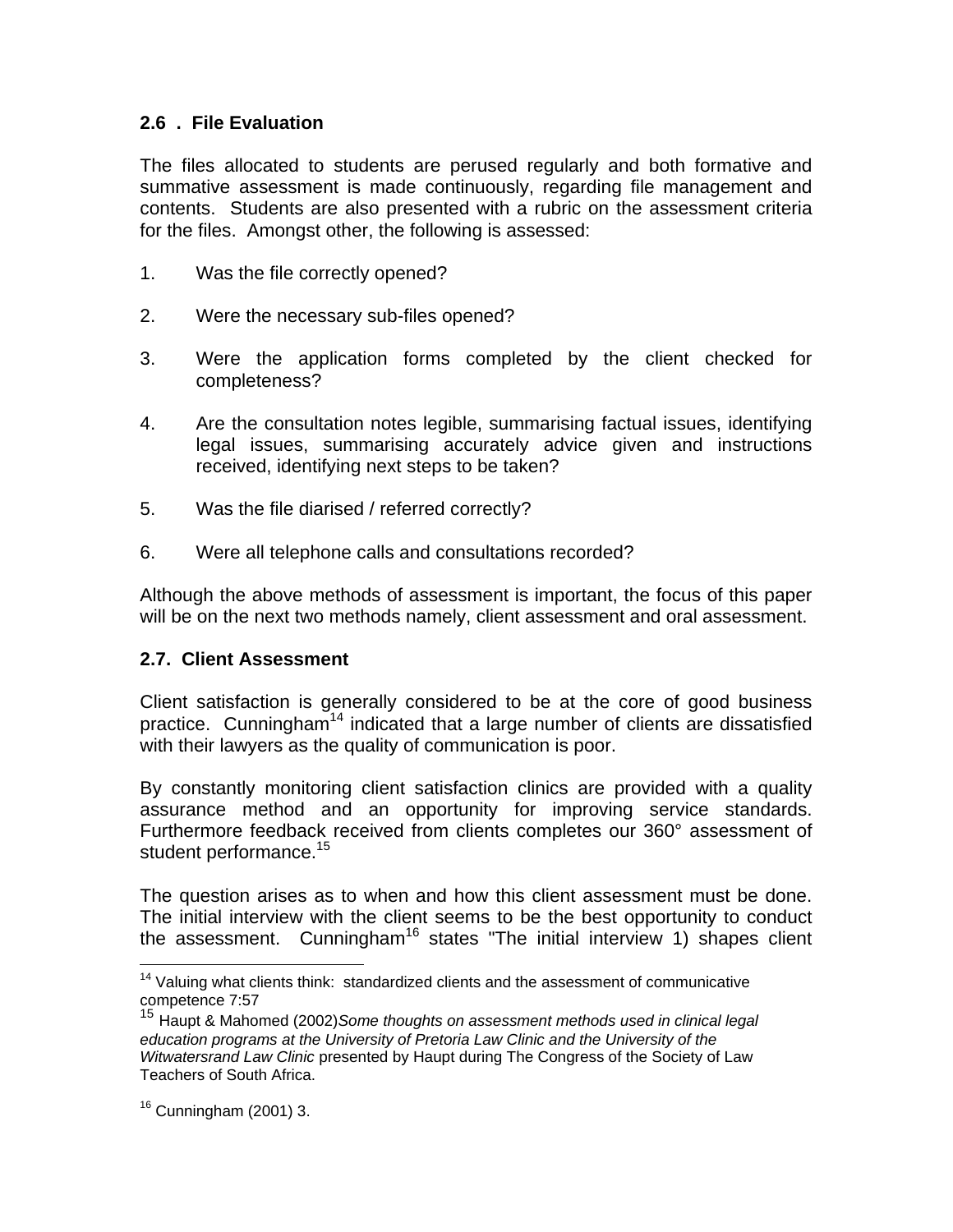### **2.6 . File Evaluation**

The files allocated to students are perused regularly and both formative and summative assessment is made continuously, regarding file management and contents. Students are also presented with a rubric on the assessment criteria for the files. Amongst other, the following is assessed:

- 1. Was the file correctly opened?
- 2. Were the necessary sub-files opened?
- 3. Were the application forms completed by the client checked for completeness?
- 4. Are the consultation notes legible, summarising factual issues, identifying legal issues, summarising accurately advice given and instructions received, identifying next steps to be taken?
- 5. Was the file diarised / referred correctly?
- 6. Were all telephone calls and consultations recorded?

Although the above methods of assessment is important, the focus of this paper will be on the next two methods namely, client assessment and oral assessment.

### **2.7. Client Assessment**

Client satisfaction is generally considered to be at the core of good business practice. Cunningham<sup>14</sup> indicated that a large number of clients are dissatisfied with their lawyers as the quality of communication is poor.

By constantly monitoring client satisfaction clinics are provided with a quality assurance method and an opportunity for improving service standards. Furthermore feedback received from clients completes our 360° assessment of student performance.<sup>15</sup>

The question arises as to when and how this client assessment must be done. The initial interview with the client seems to be the best opportunity to conduct the assessment. Cunningham<sup>16</sup> states "The initial interview 1) shapes client

 $\overline{a}$ 

 $14$  Valuing what clients think: standardized clients and the assessment of communicative competence 7:57

<sup>15</sup> Haupt & Mahomed (2002)*Some thoughts on assessment methods used in clinical legal education programs at the University of Pretoria Law Clinic and the University of the Witwatersrand Law Clinic* presented by Haupt during The Congress of the Society of Law Teachers of South Africa.

 $16$  Cunningham (2001) 3.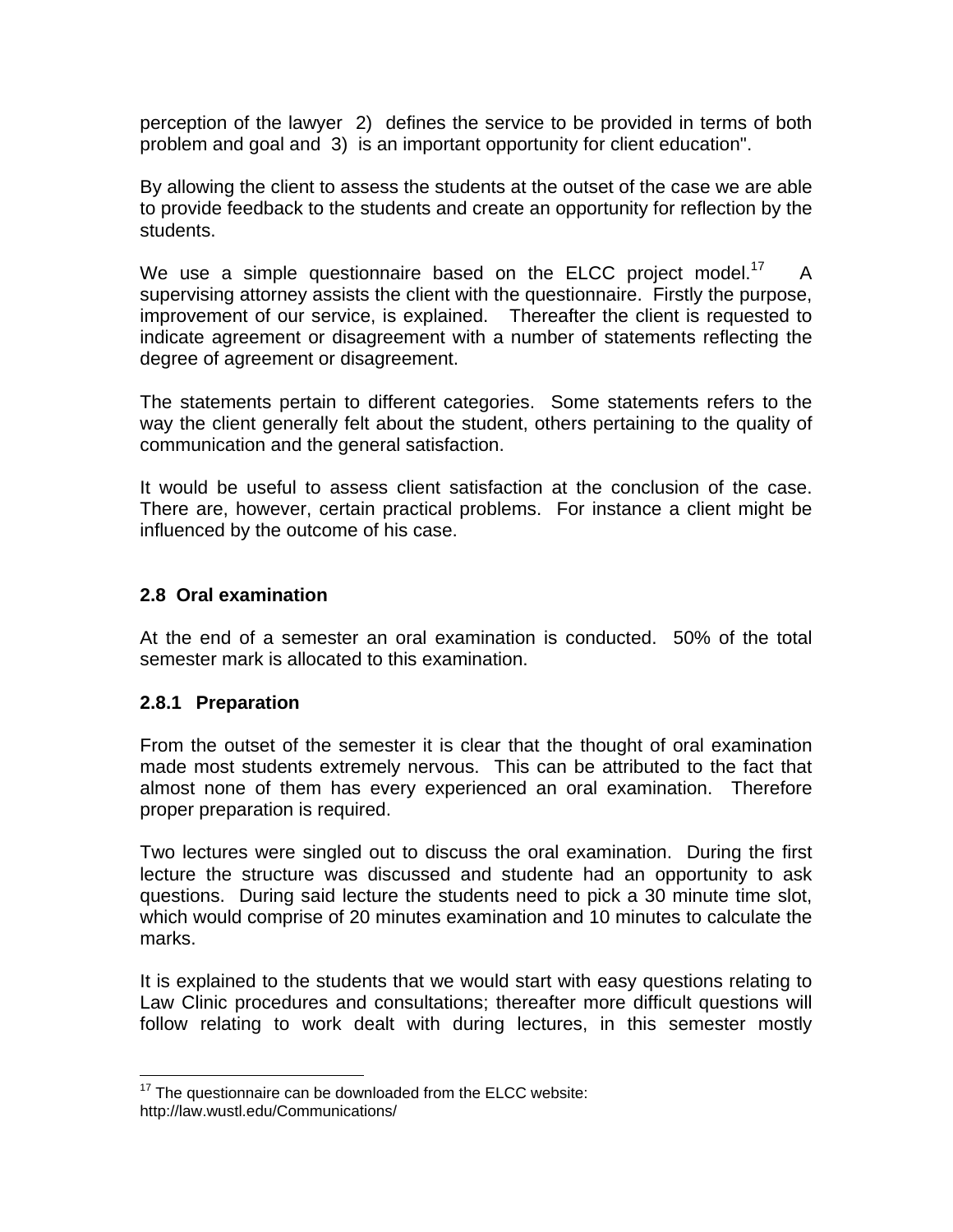perception of the lawyer 2) defines the service to be provided in terms of both problem and goal and 3) is an important opportunity for client education".

By allowing the client to assess the students at the outset of the case we are able to provide feedback to the students and create an opportunity for reflection by the students.

We use a simple questionnaire based on the ELCC project model.<sup>17</sup> A supervising attorney assists the client with the questionnaire. Firstly the purpose, improvement of our service, is explained. Thereafter the client is requested to indicate agreement or disagreement with a number of statements reflecting the degree of agreement or disagreement.

The statements pertain to different categories. Some statements refers to the way the client generally felt about the student, others pertaining to the quality of communication and the general satisfaction.

It would be useful to assess client satisfaction at the conclusion of the case. There are, however, certain practical problems. For instance a client might be influenced by the outcome of his case.

## **2.8 Oral examination**

At the end of a semester an oral examination is conducted. 50% of the total semester mark is allocated to this examination.

### **2.8.1 Preparation**

From the outset of the semester it is clear that the thought of oral examination made most students extremely nervous. This can be attributed to the fact that almost none of them has every experienced an oral examination. Therefore proper preparation is required.

Two lectures were singled out to discuss the oral examination. During the first lecture the structure was discussed and studente had an opportunity to ask questions. During said lecture the students need to pick a 30 minute time slot, which would comprise of 20 minutes examination and 10 minutes to calculate the marks.

It is explained to the students that we would start with easy questions relating to Law Clinic procedures and consultations; thereafter more difficult questions will follow relating to work dealt with during lectures, in this semester mostly

<sup>1</sup>  $17$  The questionnaire can be downloaded from the ELCC website: http://law.wustl.edu/Communications/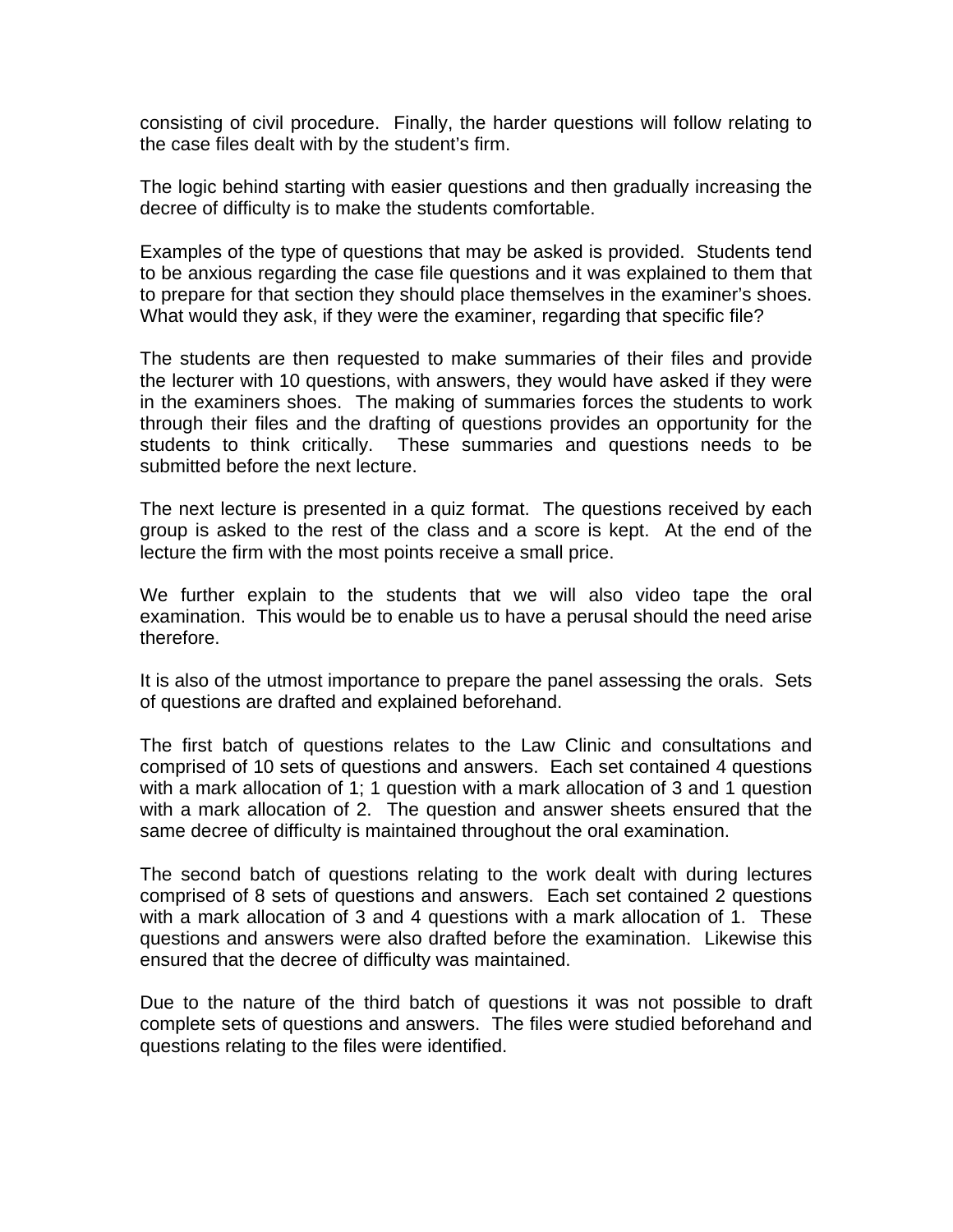consisting of civil procedure. Finally, the harder questions will follow relating to the case files dealt with by the student's firm.

The logic behind starting with easier questions and then gradually increasing the decree of difficulty is to make the students comfortable.

Examples of the type of questions that may be asked is provided. Students tend to be anxious regarding the case file questions and it was explained to them that to prepare for that section they should place themselves in the examiner's shoes. What would they ask, if they were the examiner, regarding that specific file?

The students are then requested to make summaries of their files and provide the lecturer with 10 questions, with answers, they would have asked if they were in the examiners shoes. The making of summaries forces the students to work through their files and the drafting of questions provides an opportunity for the students to think critically. These summaries and questions needs to be submitted before the next lecture.

The next lecture is presented in a quiz format. The questions received by each group is asked to the rest of the class and a score is kept. At the end of the lecture the firm with the most points receive a small price.

We further explain to the students that we will also video tape the oral examination. This would be to enable us to have a perusal should the need arise therefore.

It is also of the utmost importance to prepare the panel assessing the orals. Sets of questions are drafted and explained beforehand.

The first batch of questions relates to the Law Clinic and consultations and comprised of 10 sets of questions and answers. Each set contained 4 questions with a mark allocation of 1; 1 question with a mark allocation of 3 and 1 question with a mark allocation of 2. The question and answer sheets ensured that the same decree of difficulty is maintained throughout the oral examination.

The second batch of questions relating to the work dealt with during lectures comprised of 8 sets of questions and answers. Each set contained 2 questions with a mark allocation of 3 and 4 questions with a mark allocation of 1. These questions and answers were also drafted before the examination. Likewise this ensured that the decree of difficulty was maintained.

Due to the nature of the third batch of questions it was not possible to draft complete sets of questions and answers. The files were studied beforehand and questions relating to the files were identified.